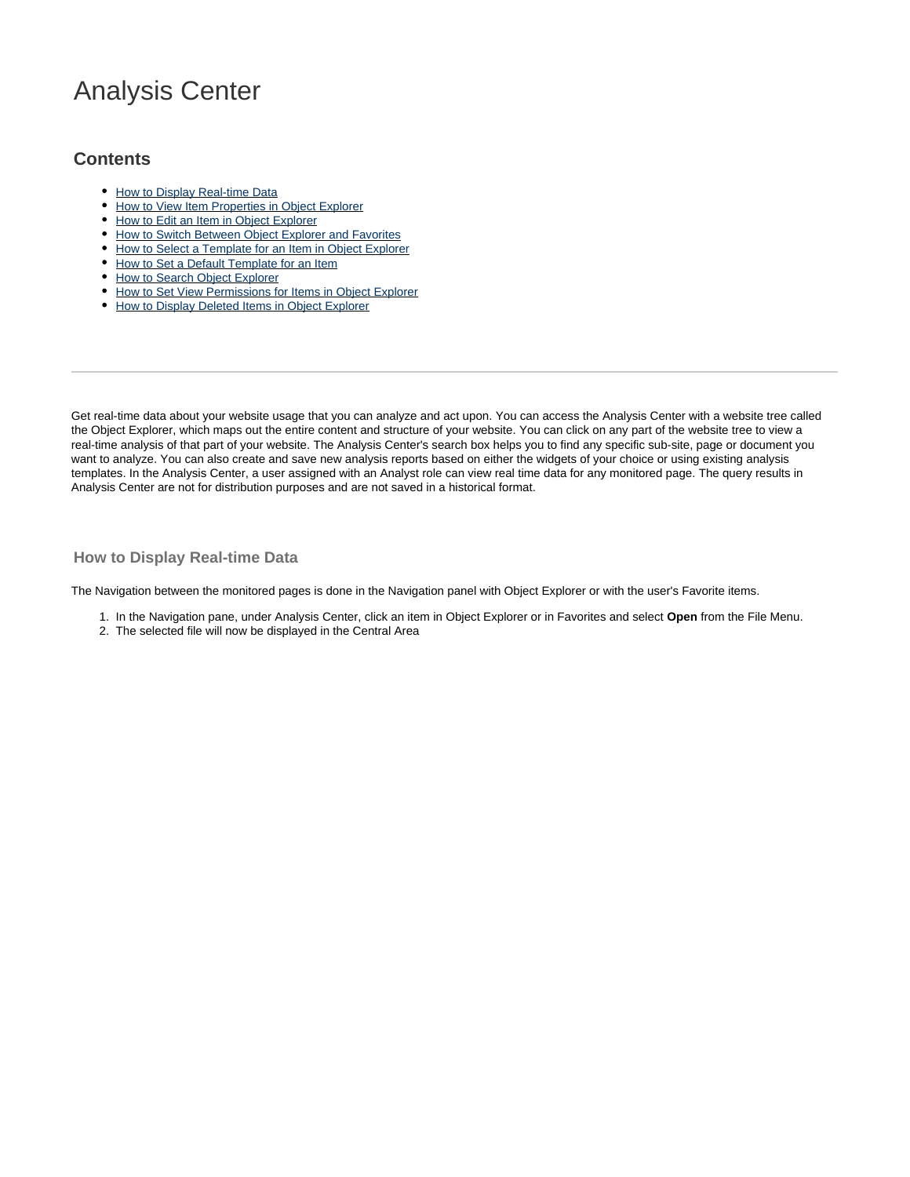# Analysis Center

## **Contents**

- [How to Display Real-time Data](#page-0-0)
- [How to View Item Properties in Object Explorer](#page-2-0)
- [How to Edit an Item in Object Explorer](#page-3-0)
- $\bullet$  [How to Switch Between Object Explorer and Favorites](#page-3-1)
- [How to Select a Template for an Item in Object Explorer](#page-4-0)
- [How to Set a Default Template for an Item](#page-4-1)
- [How to Search Object Explorer](#page-5-0)
- [How to Set View Permissions for Items in Object Explorer](#page-6-0)
- [How to Display Deleted Items in Object Explorer](#page-7-0)

Get real-time data about your website usage that you can analyze and act upon. You can access the Analysis Center with a website tree called the Object Explorer, which maps out the entire content and structure of your website. You can click on any part of the website tree to view a real-time analysis of that part of your website. The Analysis Center's search box helps you to find any specific sub-site, page or document you want to analyze. You can also create and save new analysis reports based on either the widgets of your choice or using existing analysis templates. In the Analysis Center, a user assigned with an Analyst role can view real time data for any monitored page. The query results in Analysis Center are not for distribution purposes and are not saved in a historical format.

#### <span id="page-0-0"></span>**How to Display Real-time Data**

The Navigation between the monitored pages is done in the Navigation panel with Object Explorer or with the user's Favorite items.

- 1. In the Navigation pane, under Analysis Center, click an item in Object Explorer or in Favorites and select **Open** from the File Menu.
- 2. The selected file will now be displayed in the Central Area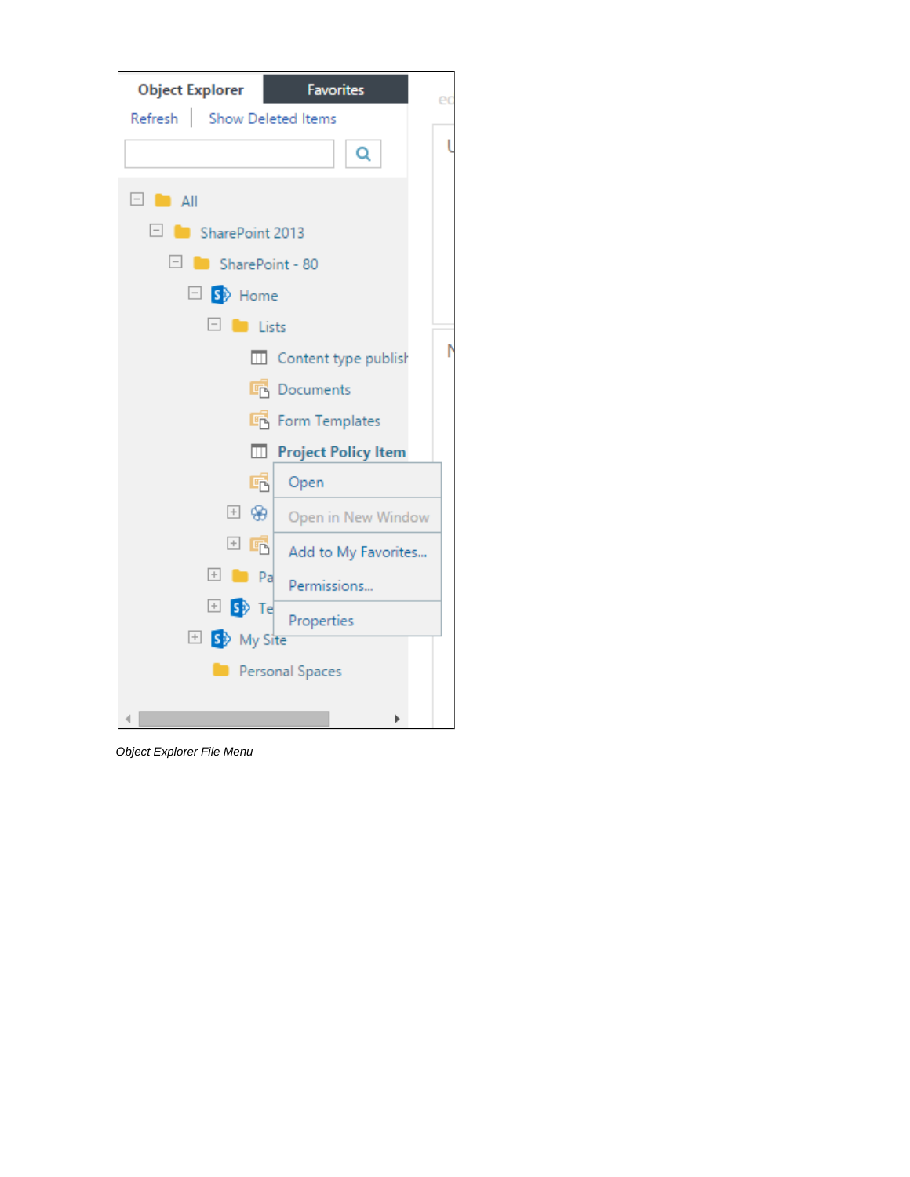

Object Explorer File Menu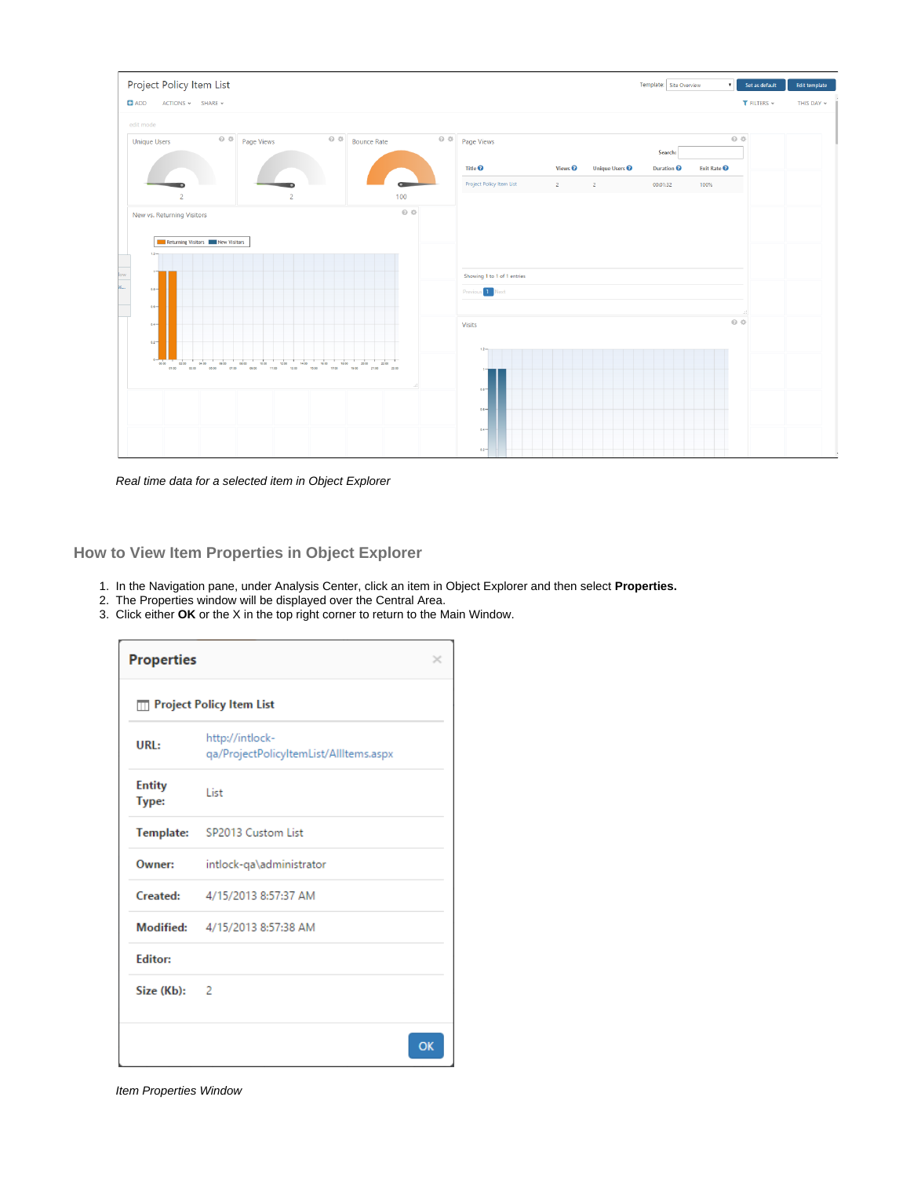

Real time data for a selected item in Object Explorer

<span id="page-2-0"></span>**How to View Item Properties in Object Explorer**

- 1. In the Navigation pane, under Analysis Center, click an item in Object Explorer and then select **Properties.**
- 2. The Properties window will be displayed over the Central Area.
- 3. Click either **OK** or the X in the top right corner to return to the Main Window.

| <b>Properties</b>      |                                                           |    |
|------------------------|-----------------------------------------------------------|----|
|                        | <b>Ⅲ Project Policy Item List</b>                         |    |
| URL:                   | http://intlock-<br>qa/ProjectPolicyItemList/AllItems.aspx |    |
| <b>Entity</b><br>Type: | List                                                      |    |
|                        | Template: SP2013 Custom List                              |    |
| Owner:                 | intlock-qa\administrator                                  |    |
| <b>Created:</b>        | 4/15/2013 8:57:37 AM                                      |    |
|                        | Modified: 4/15/2013 8:57:38 AM                            |    |
| <b>Editor:</b>         |                                                           |    |
| Size (Kb): 2           |                                                           |    |
|                        |                                                           | OK |

Item Properties Window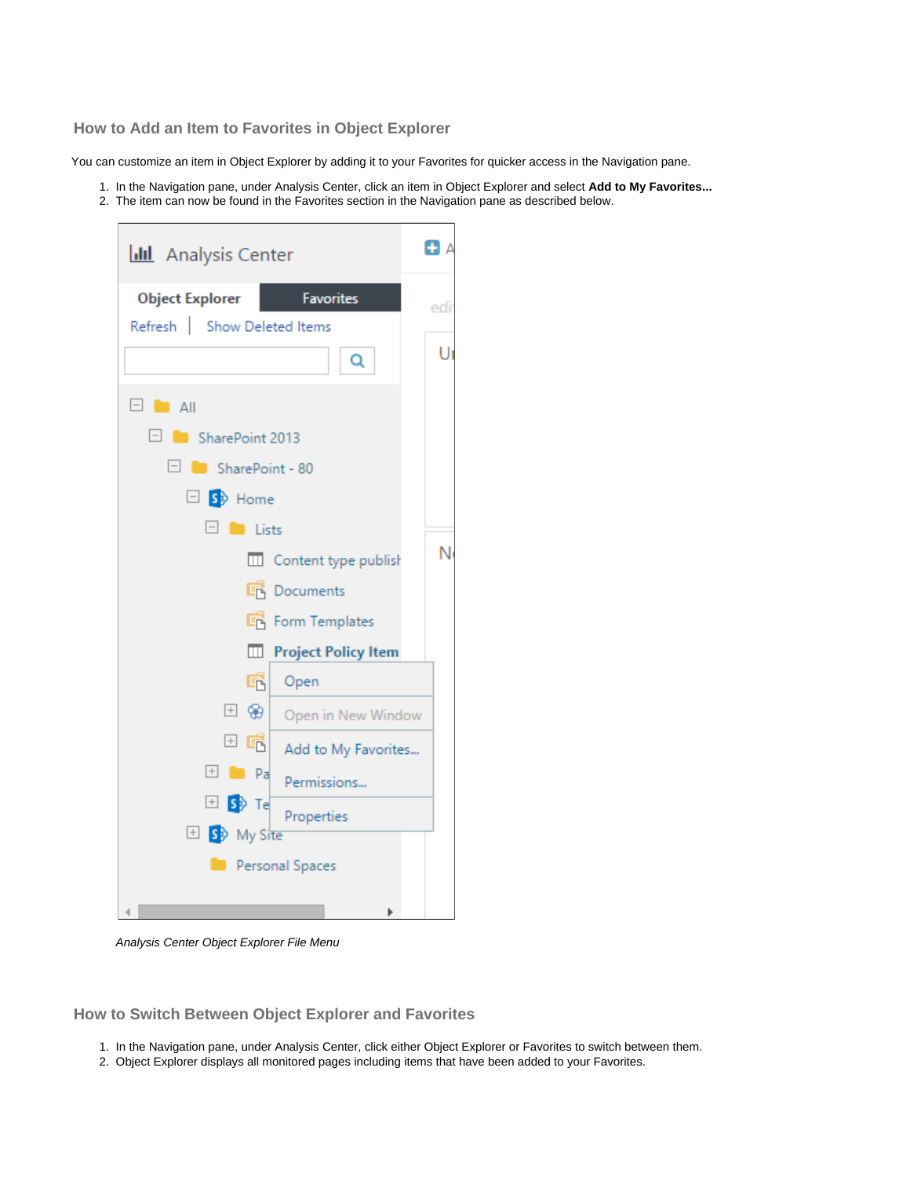<span id="page-3-0"></span>**How to Add an Item to Favorites in Object Explorer**

You can customize an item in Object Explorer by adding it to your Favorites for quicker access in the Navigation pane.

- 1. In the Navigation pane, under Analysis Center, click an item in Object Explorer and select **Add to My Favorites...**
- 2. The item can now be found in the Favorites section in the Navigation pane as described below.



Analysis Center Object Explorer File Menu

<span id="page-3-1"></span>**How to Switch Between Object Explorer and Favorites**

- 1. In the Navigation pane, under Analysis Center, click either Object Explorer or Favorites to switch between them.
- 2. Object Explorer displays all monitored pages including items that have been added to your Favorites.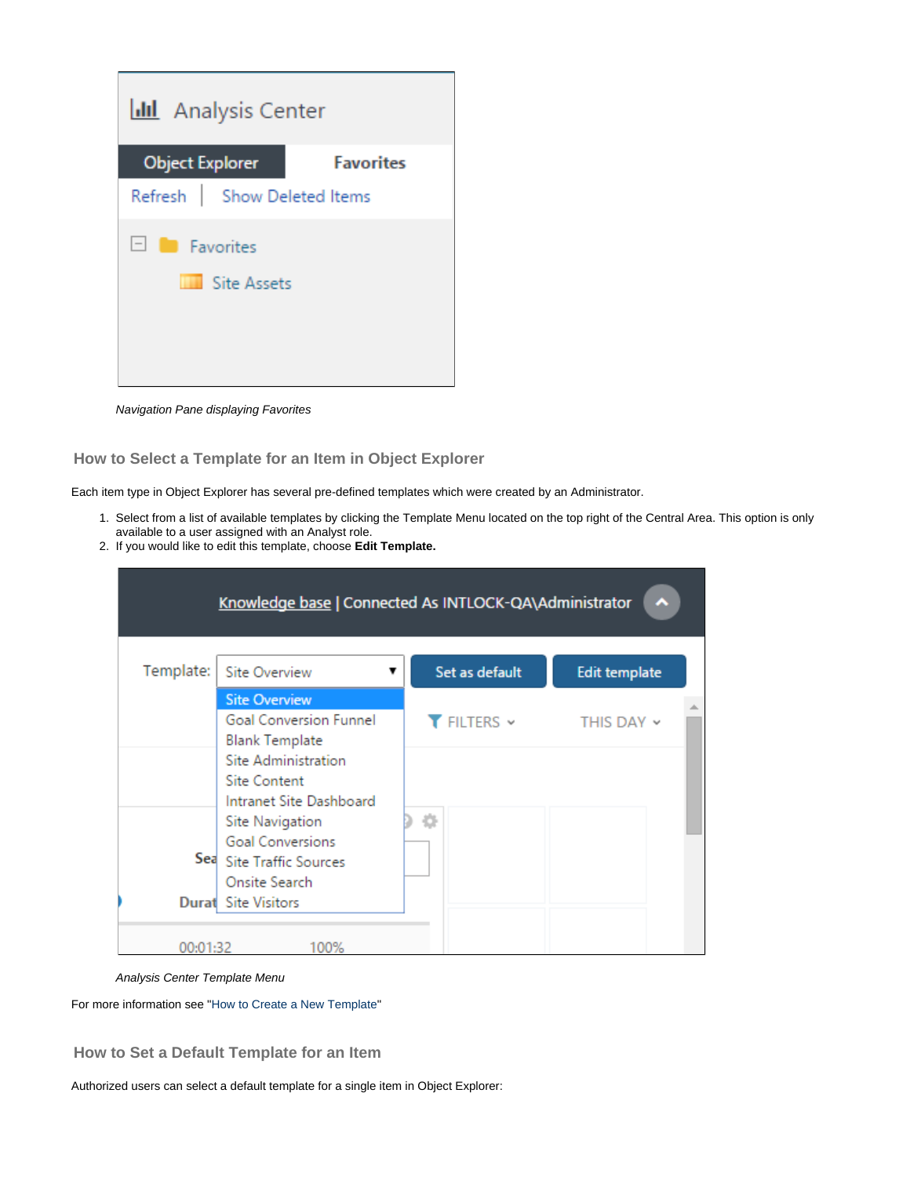| <b>II</b> Analysis Center                         |                  |  |
|---------------------------------------------------|------------------|--|
| <b>Object Explorer</b>                            | <b>Favorites</b> |  |
| Refresh   Show Deleted Items                      |                  |  |
| $\Box$ <b>Favorites</b><br><b>THE Site Assets</b> |                  |  |

Navigation Pane displaying Favorites

## <span id="page-4-0"></span>**How to Select a Template for an Item in Object Explorer**

Each item type in Object Explorer has several pre-defined templates which were created by an Administrator.

- 1. Select from a list of available templates by clicking the Template Menu located on the top right of the Central Area. This option is only available to a user assigned with an Analyst role.
- 2. If you would like to edit this template, choose **Edit Template.**

|           | Knowledge base   Connected As INTLOCK-QA\Administrator                  |                |                                                                       |
|-----------|-------------------------------------------------------------------------|----------------|-----------------------------------------------------------------------|
| Template: | <b>Site Overview</b>                                                    | Set as default | <b>Edit template</b>                                                  |
|           | <b>Site Overview</b><br>Goal Conversion Funnel<br><b>Blank Template</b> |                | $\blacktriangledown$ FILTERS $\triangledown$ THIS DAY $\triangledown$ |
|           | Site Administration<br><b>Site Content</b><br>Intranet Site Dashboard   |                |                                                                       |
|           | Site Navigation<br><b>Goal Conversions</b><br>Sea Site Traffic Sources  | 찭              |                                                                       |
|           | Onsite Search<br><b>Durat</b> Site Visitors                             |                |                                                                       |
| 00:01:32  | 100%                                                                    |                |                                                                       |

#### Analysis Center Template Menu

For more information see ["How to Create a New Template"](https://kb.intlock.com/display/Support/Report+Templates#ReportTemplates-createtemplate)

<span id="page-4-1"></span>**How to Set a Default Template for an Item**

Authorized users can select a default template for a single item in Object Explorer: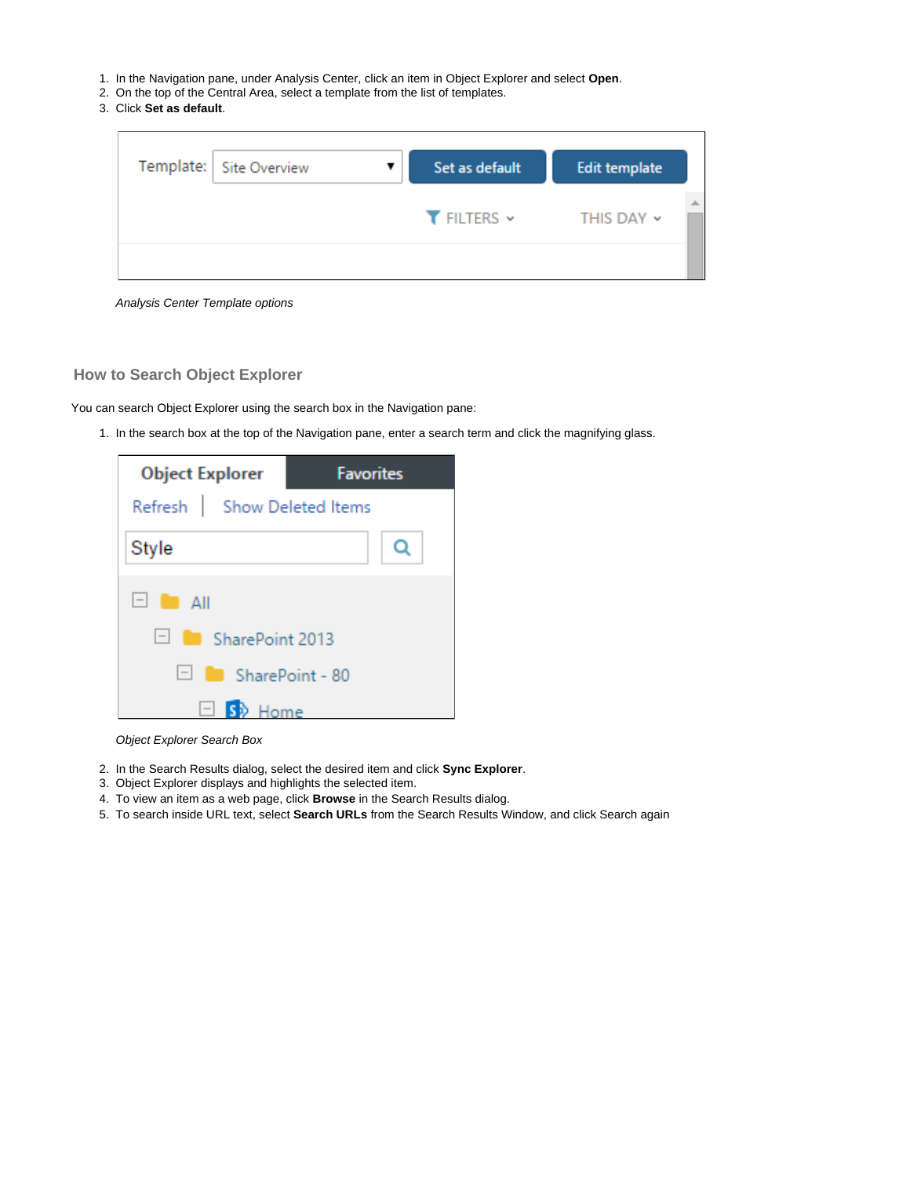- 1. In the Navigation pane, under Analysis Center, click an item in Object Explorer and select **Open**.
- 2. On the top of the Central Area, select a template from the list of templates.
- 3. Click **Set as default**.

| Template:   Site Overview | Set as default     | Edit template |  |
|---------------------------|--------------------|---------------|--|
|                           | $T$ FILTERS $\sim$ | THIS DAY ~    |  |
|                           |                    |               |  |

Analysis Center Template options

#### <span id="page-5-0"></span>**How to Search Object Explorer**

You can search Object Explorer using the search box in the Navigation pane:

1. In the search box at the top of the Navigation pane, enter a search term and click the magnifying glass.



Object Explorer Search Box

- 2. In the Search Results dialog, select the desired item and click **Sync Explorer**.
- 3. Object Explorer displays and highlights the selected item.
- 4. To view an item as a web page, click **Browse** in the Search Results dialog.
- 5. To search inside URL text, select **Search URLs** from the Search Results Window, and click Search again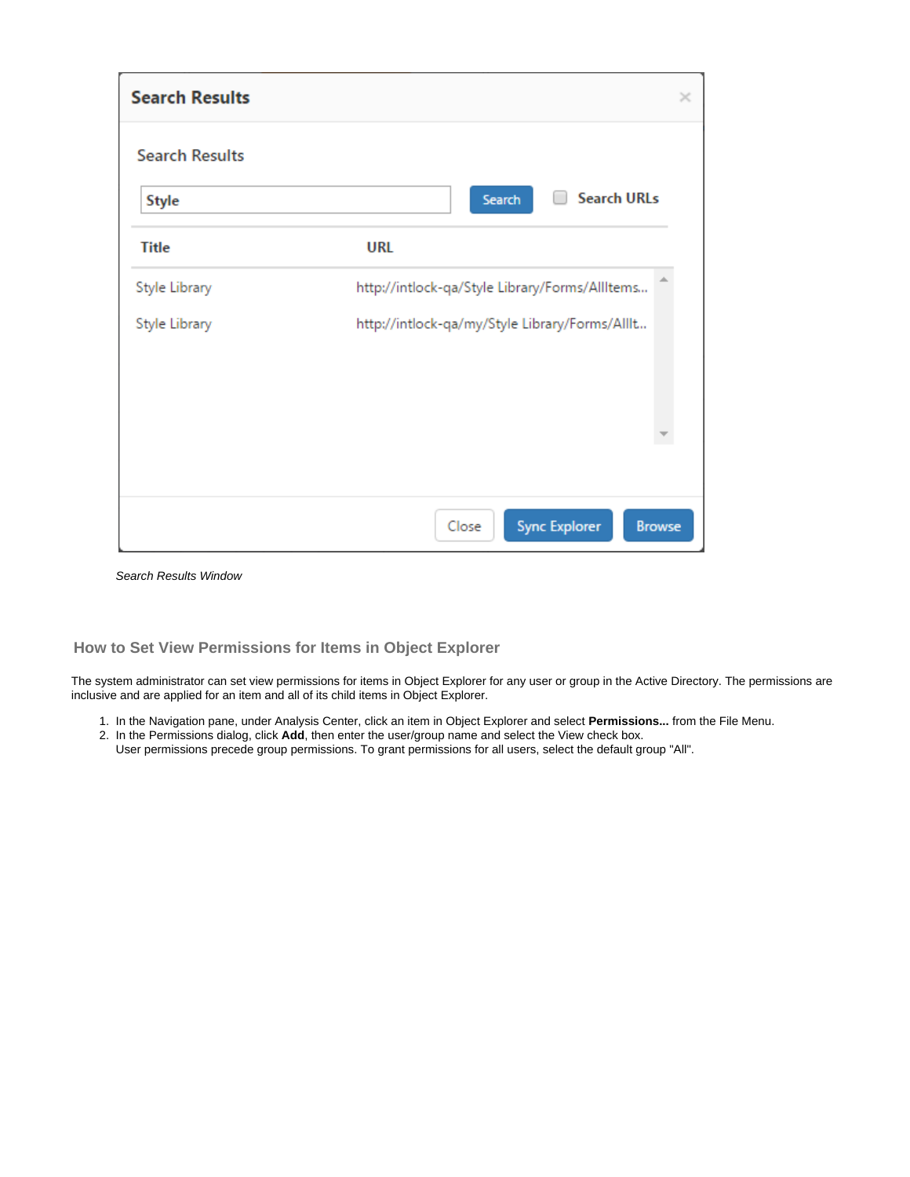| <b>Search Results</b> |                                                | × |
|-----------------------|------------------------------------------------|---|
| <b>Search Results</b> |                                                |   |
| <b>Style</b>          | <b>Search URLs</b><br>Search                   |   |
| <b>Title</b>          | <b>URL</b>                                     |   |
| Style Library         | http://intlock-qa/Style Library/Forms/AllItems |   |
| Style Library         | http://intlock-qa/my/Style Library/Forms/Alllt |   |
|                       |                                                |   |
|                       | <b>Sync Explorer</b><br>Close<br><b>Browse</b> |   |

Search Results Window

## <span id="page-6-0"></span>**How to Set View Permissions for Items in Object Explorer**

The system administrator can set view permissions for items in Object Explorer for any user or group in the Active Directory. The permissions are inclusive and are applied for an item and all of its child items in Object Explorer.

- 1. In the Navigation pane, under Analysis Center, click an item in Object Explorer and select **Permissions...** from the File Menu.
- 2. In the Permissions dialog, click **Add**, then enter the user/group name and select the View check box. User permissions precede group permissions. To grant permissions for all users, select the default group "All".